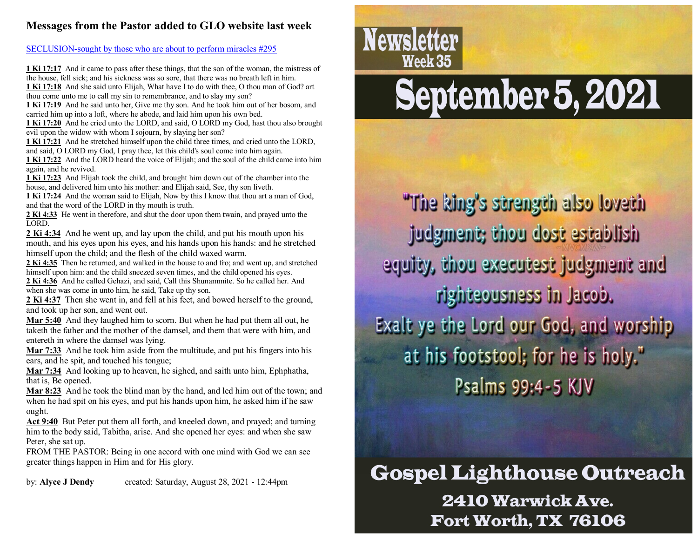## **Messages from the Pastor added to GLO website last week**

[SECLUSION-sought by those who are about to perform miracles #295](http://www.gospellighthouseoutreach.com/fellowshiphall/?q=node/7589)

**1 Ki 17:17** And it came to pass after these things, that the son of the woman, the mistress of the house, fell sick; and his sickness was so sore, that there was no breath left in him. **1 Ki 17:18** And she said unto Elijah, What have I to do with thee, O thou man of God? art

thou come unto me to call my sin to remembrance, and to slay my son?

**1 Ki 17:19** And he said unto her, Give me thy son. And he took him out of her bosom, and carried him up into a loft, where he abode, and laid him upon his own bed.

**1 Ki 17:20** And he cried unto the LORD, and said, O LORD my God, hast thou also brought evil upon the widow with whom I sojourn, by slaying her son?

**1 Ki 17:21** And he stretched himself upon the child three times, and cried unto the LORD, and said, O LORD my God, I pray thee, let this child's soul come into him again.

**1 Ki 17:22** And the LORD heard the voice of Elijah; and the soul of the child came into him again, and he revived.

**1 Ki 17:23** And Elijah took the child, and brought him down out of the chamber into the house, and delivered him unto his mother: and Elijah said, See, thy son liveth.

**1 Ki 17:24** And the woman said to Elijah, Now by this I know that thou art a man of God, and that the word of the LORD in thy mouth is truth.

**2 Ki 4:33** He went in therefore, and shut the door upon them twain, and prayed unto the LORD.

**2 Ki 4:34** And he went up, and lay upon the child, and put his mouth upon his mouth, and his eyes upon his eyes, and his hands upon his hands: and he stretched himself upon the child; and the flesh of the child waxed warm.

**2 Ki 4:35** Then he returned, and walked in the house to and fro; and went up, and stretched himself upon him: and the child sneezed seven times, and the child opened his eyes.

**2 Ki 4:36** And he called Gehazi, and said, Call this Shunammite. So he called her. And when she was come in unto him, he said. Take up thy son.

**2 Ki 4:37** Then she went in, and fell at his feet, and bowed herself to the ground, and took up her son, and went out.

**Mar 5:40** And they laughed him to scorn. But when he had put them all out, he taketh the father and the mother of the damsel, and them that were with him, and entereth in where the damsel was lying.

**Mar 7:33** And he took him aside from the multitude, and put his fingers into his ears, and he spit, and touched his tongue;

**Mar 7:34** And looking up to heaven, he sighed, and saith unto him, Ephphatha, that is, Be opened.

**Mar 8:23** And he took the blind man by the hand, and led him out of the town; and when he had spit on his eyes, and put his hands upon him, he asked him if he saw ought.

**Act 9:40** But Peter put them all forth, and kneeled down, and prayed; and turning him to the body said, Tabitha, arise. And she opened her eyes: and when she saw Peter, she sat up.

FROM THE PASTOR: Being in one accord with one mind with God we can see greater things happen in Him and for His glory.

by: **Alyce J Dendy** created: Saturday, August 28, 2021 - 12:44pm

# **Newsletter** Week 35

# September 5, 2021

"The king's strength also loveth judgment; thou dost establish equity, thou executest judgment and righteousness in Jacob. Exalt ye the Lord our God, and worship at his footstool; for he is holy." Psalms 99:4-5 KJV

**Gospel Lighthouse Outreach** 2410 Warwick Ave. Fort Worth, TX 76106